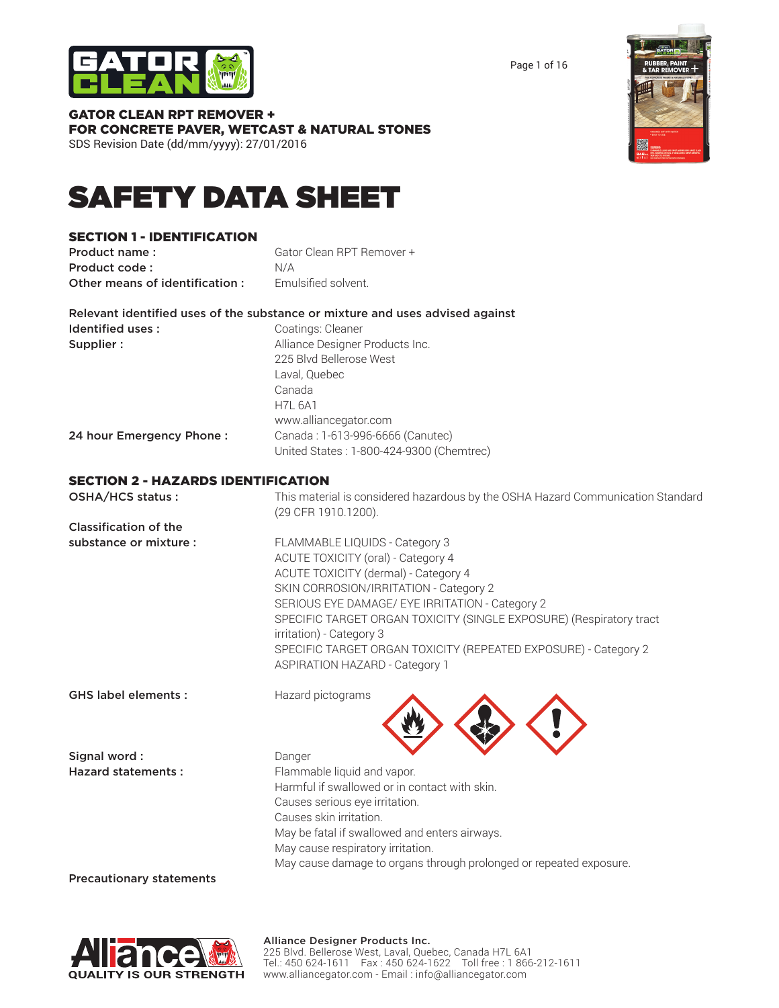

Page 1 of 16

#### GATOR CLEAN RPT REMOVER + FOR CONCRETE PAVER, WETCAST & NATURAL STONES SDS Revision Date (dd/mm/yyyy): 27/01/2016

SAFETY DATA SHEET

## SECTION 1 - IDENTIFICATION

Product name: Gator Clean RPT Remover + Product code : N/A **Other means of identification :** Fmulsified solvent.

Relevant identified uses of the substance or mixture and uses advised against Identified uses : Coatings: Cleaner **Supplier :** Alliance Designer Products Inc. 225 Blvd Bellerose West

> Laval, Quebec Canada H7L 6A1

**24 hour Emergency Phone :** Canada : 1-613-996-6666 (Canutec)

United States : 1-800-424-9300 (Chemtrec)

www.alliancegator.com

### SECTION 2 - HAZARDS IDENTIFICATION

OSHA/HCS status : This material is considered hazardous by the OSHA Hazard Communication Standard (29 CFR 1910.1200).

Classification of the

substance or mixture : FLAMMABLE LIQUIDS - Category 3 ACUTE TOXICITY (oral) - Category 4 ACUTE TOXICITY (dermal) - Category 4 SKIN CORROSION/IRRITATION - Category 2 SERIOUS EYE DAMAGE/ EYE IRRITATION - Category 2 SPECIFIC TARGET ORGAN TOXICITY (SINGLE EXPOSURE) (Respiratory tract irritation) - Category 3 SPECIFIC TARGET ORGAN TOXICITY (REPEATED EXPOSURE) - Category 2 ASPIRATION HAZARD - Category 1 

GHS label elements : Hazard pictograms

Signal word : Danger

Hazard statements : Flammable liquid and vapor. Harmful if swallowed or in contact with skin. Causes serious eye irritation. Causes skin irritation. May be fatal if swallowed and enters airways. May cause respiratory irritation. May cause damage to organs through prolonged or repeated exposure.

Precautionary statements

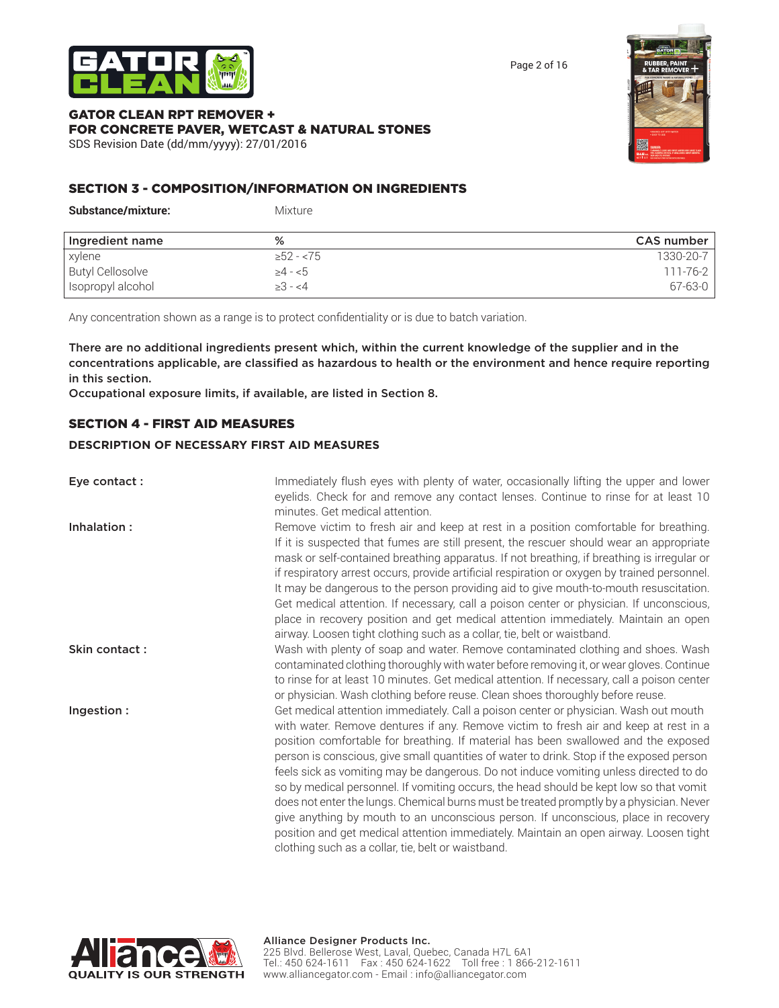

Page 2 of 16

#### GATOR CLEAN RPT REMOVER + FOR CONCRETE PAVER, WETCAST & NATURAL STONES SDS Revision Date (dd/mm/yyyy): 27/01/2016



### SECTION 3 - COMPOSITION/INFORMATION ON INGREDIENTS

| <b>Substance/mixture:</b> | <b>Mixture</b> |                |
|---------------------------|----------------|----------------|
| Ingredient name           | %              | CAS number     |
| xylene                    | $\geq 52 - 75$ | 1330-20-7      |
| <b>Butyl Cellosolve</b>   | $\geq 4 - 5$   | $111 - 76 - 2$ |
| Isopropyl alcohol         | $\geq 3 - 4$   | $67 - 63 - 0$  |

Any concentration shown as a range is to protect confidentiality or is due to batch variation.

There are no additional ingredients present which, within the current knowledge of the supplier and in the concentrations applicable, are classified as hazardous to health or the environment and hence require reporting in this section.

Occupational exposure limits, if available, are listed in Section 8.

#### SECTION 4 - FIRST AID MEASURES

#### **DESCRIPTION OF NECESSARY FIRST AID MEASURES**

| Eye contact:  | Immediately flush eyes with plenty of water, occasionally lifting the upper and lower<br>eyelids. Check for and remove any contact lenses. Continue to rinse for at least 10<br>minutes. Get medical attention.                                                                                                                                                                                                                                                                                                                                                                                                                                                                                                                                                                                                                                                                   |
|---------------|-----------------------------------------------------------------------------------------------------------------------------------------------------------------------------------------------------------------------------------------------------------------------------------------------------------------------------------------------------------------------------------------------------------------------------------------------------------------------------------------------------------------------------------------------------------------------------------------------------------------------------------------------------------------------------------------------------------------------------------------------------------------------------------------------------------------------------------------------------------------------------------|
| Inhalation:   | Remove victim to fresh air and keep at rest in a position comfortable for breathing.<br>If it is suspected that fumes are still present, the rescuer should wear an appropriate<br>mask or self-contained breathing apparatus. If not breathing, if breathing is irregular or<br>if respiratory arrest occurs, provide artificial respiration or oxygen by trained personnel.<br>It may be dangerous to the person providing aid to give mouth-to-mouth resuscitation.<br>Get medical attention. If necessary, call a poison center or physician. If unconscious,<br>place in recovery position and get medical attention immediately. Maintain an open<br>airway. Loosen tight clothing such as a collar, tie, belt or waistband.                                                                                                                                                |
| Skin contact: | Wash with plenty of soap and water. Remove contaminated clothing and shoes. Wash<br>contaminated clothing thoroughly with water before removing it, or wear gloves. Continue<br>to rinse for at least 10 minutes. Get medical attention. If necessary, call a poison center<br>or physician. Wash clothing before reuse. Clean shoes thoroughly before reuse.                                                                                                                                                                                                                                                                                                                                                                                                                                                                                                                     |
| Ingestion:    | Get medical attention immediately. Call a poison center or physician. Wash out mouth<br>with water. Remove dentures if any. Remove victim to fresh air and keep at rest in a<br>position comfortable for breathing. If material has been swallowed and the exposed<br>person is conscious, give small quantities of water to drink. Stop if the exposed person<br>feels sick as vomiting may be dangerous. Do not induce vomiting unless directed to do<br>so by medical personnel. If vomiting occurs, the head should be kept low so that vomit<br>does not enter the lungs. Chemical burns must be treated promptly by a physician. Never<br>give anything by mouth to an unconscious person. If unconscious, place in recovery<br>position and get medical attention immediately. Maintain an open airway. Loosen tight<br>clothing such as a collar, tie, belt or waistband. |

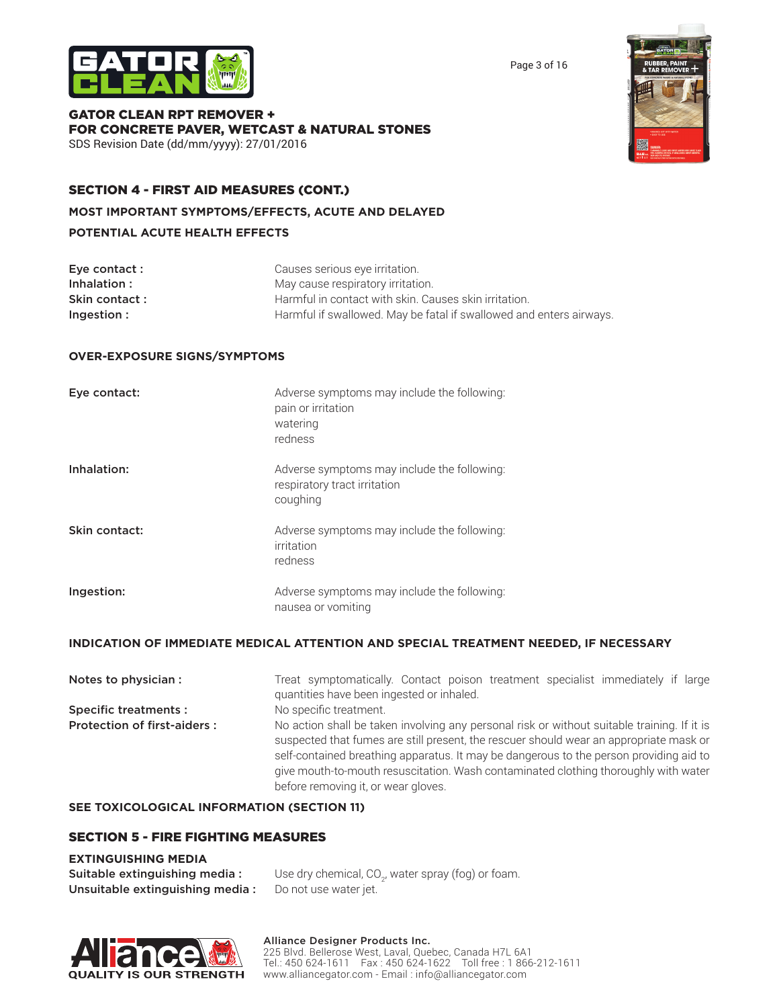



GATOR CLEAN RPT REMOVER + FOR CONCRETE PAVER, WETCAST & NATURAL STONES SDS Revision Date (dd/mm/yyyy): 27/01/2016

## SECTION 4 - FIRST AID MEASURES (CONT.)

**MOST IMPORTANT SYMPTOMS/EFFECTS, ACUTE AND DELAYED**

#### **POTENTIAL ACUTE HEALTH EFFECTS**

| Eye contact : | Causes serious eye irritation.                                      |
|---------------|---------------------------------------------------------------------|
| Inhalation:   | May cause respiratory irritation.                                   |
| Skin contact: | Harmful in contact with skin. Causes skin irritation.               |
| Ingestion:    | Harmful if swallowed. May be fatal if swallowed and enters airways. |

#### **OVER-EXPOSURE SIGNS/SYMPTOMS**

| Eye contact:  | Adverse symptoms may include the following:<br>pain or irritation<br>watering<br>redness |
|---------------|------------------------------------------------------------------------------------------|
| Inhalation:   | Adverse symptoms may include the following:<br>respiratory tract irritation<br>coughing  |
| Skin contact: | Adverse symptoms may include the following:<br>irritation<br>redness                     |
| Ingestion:    | Adverse symptoms may include the following:<br>nausea or vomiting                        |

#### **INDICATION OF IMMEDIATE MEDICAL ATTENTION AND SPECIAL TREATMENT NEEDED, IF NECESSARY**

| Notes to physician :               | Treat symptomatically. Contact poison treatment specialist immediately if large<br>quantities have been ingested or inhaled.                                                                                                                                                                                                                                                                                  |  |
|------------------------------------|---------------------------------------------------------------------------------------------------------------------------------------------------------------------------------------------------------------------------------------------------------------------------------------------------------------------------------------------------------------------------------------------------------------|--|
| <b>Specific treatments:</b>        | No specific treatment.                                                                                                                                                                                                                                                                                                                                                                                        |  |
| <b>Protection of first-aiders:</b> | No action shall be taken involving any personal risk or without suitable training. If it is<br>suspected that fumes are still present, the rescuer should wear an appropriate mask or<br>self-contained breathing apparatus. It may be dangerous to the person providing aid to<br>give mouth-to-mouth resuscitation. Wash contaminated clothing thoroughly with water<br>before removing it, or wear gloves. |  |

#### **SEE TOXICOLOGICAL INFORMATION (SECTION 11)**

#### SECTION 5 - FIRE FIGHTING MEASURES

#### **EXTINGUISHING MEDIA**

| <b>Suitable extinguishing media:</b> | Use dry chemical, CO <sub>2</sub> , water spray (fog) or foam. |
|--------------------------------------|----------------------------------------------------------------|
| Unsuitable extinguishing media:      | Do not use water jet.                                          |



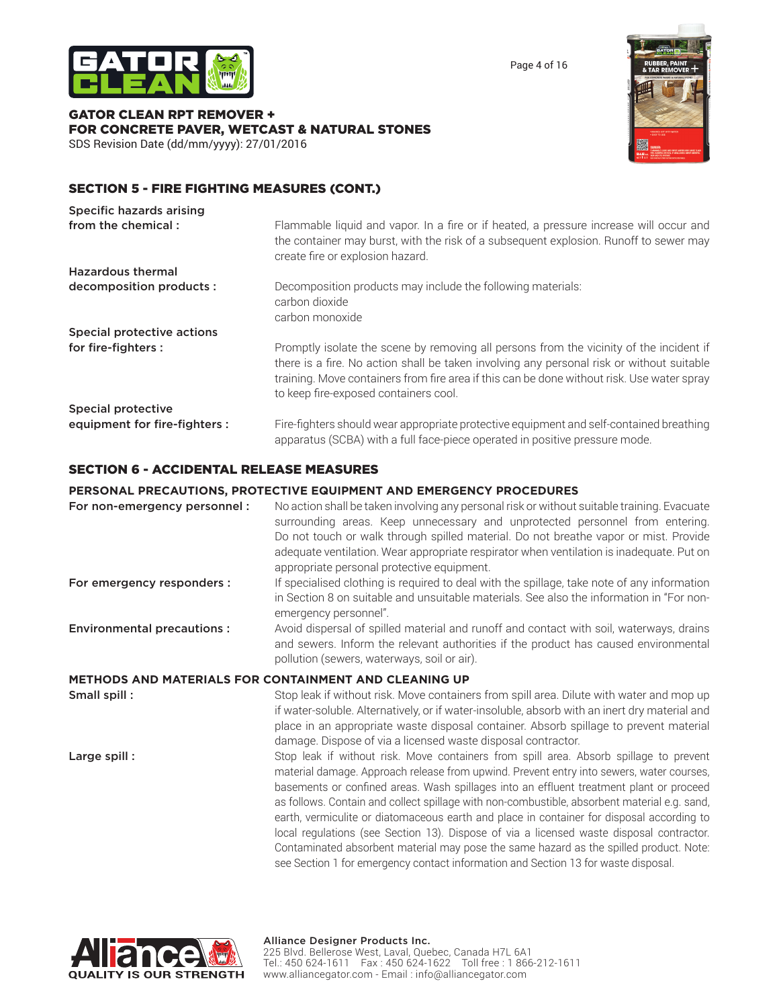

Page 4 of 16

#### GATOR CLEAN RPT REMOVER + FOR CONCRETE PAVER, WETCAST & NATURAL STONES SDS Revision Date (dd/mm/yyyy): 27/01/2016



## SECTION 5 - FIRE FIGHTING MEASURES (CONT.)

| Specific hazards arising      |                                                                                                                                                                                                                                                                                                                             |
|-------------------------------|-----------------------------------------------------------------------------------------------------------------------------------------------------------------------------------------------------------------------------------------------------------------------------------------------------------------------------|
| from the chemical:            | Flammable liquid and vapor. In a fire or if heated, a pressure increase will occur and<br>the container may burst, with the risk of a subsequent explosion. Runoff to sewer may<br>create fire or explosion hazard.                                                                                                         |
| <b>Hazardous thermal</b>      |                                                                                                                                                                                                                                                                                                                             |
| decomposition products :      | Decomposition products may include the following materials:<br>carbon dioxide<br>carbon monoxide                                                                                                                                                                                                                            |
| Special protective actions    |                                                                                                                                                                                                                                                                                                                             |
| for fire-fighters :           | Promptly isolate the scene by removing all persons from the vicinity of the incident if<br>there is a fire. No action shall be taken involving any personal risk or without suitable<br>training. Move containers from fire area if this can be done without risk. Use water spray<br>to keep fire-exposed containers cool. |
| <b>Special protective</b>     |                                                                                                                                                                                                                                                                                                                             |
| equipment for fire-fighters : | Fire-fighters should wear appropriate protective equipment and self-contained breathing<br>apparatus (SCBA) with a full face-piece operated in positive pressure mode.                                                                                                                                                      |

#### SECTION 6 - ACCIDENTAL RELEASE MEASURES

#### **PERSONAL PRECAUTIONS, PROTECTIVE EQUIPMENT AND EMERGENCY PROCEDURES**

| For non-emergency personnel :                                | No action shall be taken involving any personal risk or without suitable training. Evacuate<br>surrounding areas. Keep unnecessary and unprotected personnel from entering.<br>Do not touch or walk through spilled material. Do not breathe vapor or mist. Provide<br>adequate ventilation. Wear appropriate respirator when ventilation is inadequate. Put on<br>appropriate personal protective equipment.                                                                                                                                                          |
|--------------------------------------------------------------|------------------------------------------------------------------------------------------------------------------------------------------------------------------------------------------------------------------------------------------------------------------------------------------------------------------------------------------------------------------------------------------------------------------------------------------------------------------------------------------------------------------------------------------------------------------------|
| For emergency responders :                                   | If specialised clothing is required to deal with the spillage, take note of any information<br>in Section 8 on suitable and unsuitable materials. See also the information in "For non-<br>emergency personnel".                                                                                                                                                                                                                                                                                                                                                       |
| <b>Environmental precautions:</b>                            | Avoid dispersal of spilled material and runoff and contact with soil, waterways, drains<br>and sewers. Inform the relevant authorities if the product has caused environmental<br>pollution (sewers, waterways, soil or air).                                                                                                                                                                                                                                                                                                                                          |
| <b>METHODS AND MATERIALS FOR CONTAINMENT AND CLEANING UP</b> |                                                                                                                                                                                                                                                                                                                                                                                                                                                                                                                                                                        |
| Small spill:                                                 | Stop leak if without risk. Move containers from spill area. Dilute with water and mop up<br>if water-soluble. Alternatively, or if water-insoluble, absorb with an inert dry material and<br>place in an appropriate waste disposal container. Absorb spillage to prevent material<br>damage. Dispose of via a licensed waste disposal contractor.                                                                                                                                                                                                                     |
| Large spill:                                                 | Stop leak if without risk. Move containers from spill area. Absorb spillage to prevent<br>material damage. Approach release from upwind. Prevent entry into sewers, water courses,<br>basements or confined areas. Wash spillages into an effluent treatment plant or proceed<br>as follows. Contain and collect spillage with non-combustible, absorbent material e.g. sand,<br>earth, vermiculite or diatomaceous earth and place in container for disposal according to<br>local regulations (see Section 13). Dispose of via a licensed waste disposal contractor. |



Contaminated absorbent material may pose the same hazard as the spilled product. Note: see Section 1 for emergency contact information and Section 13 for waste disposal.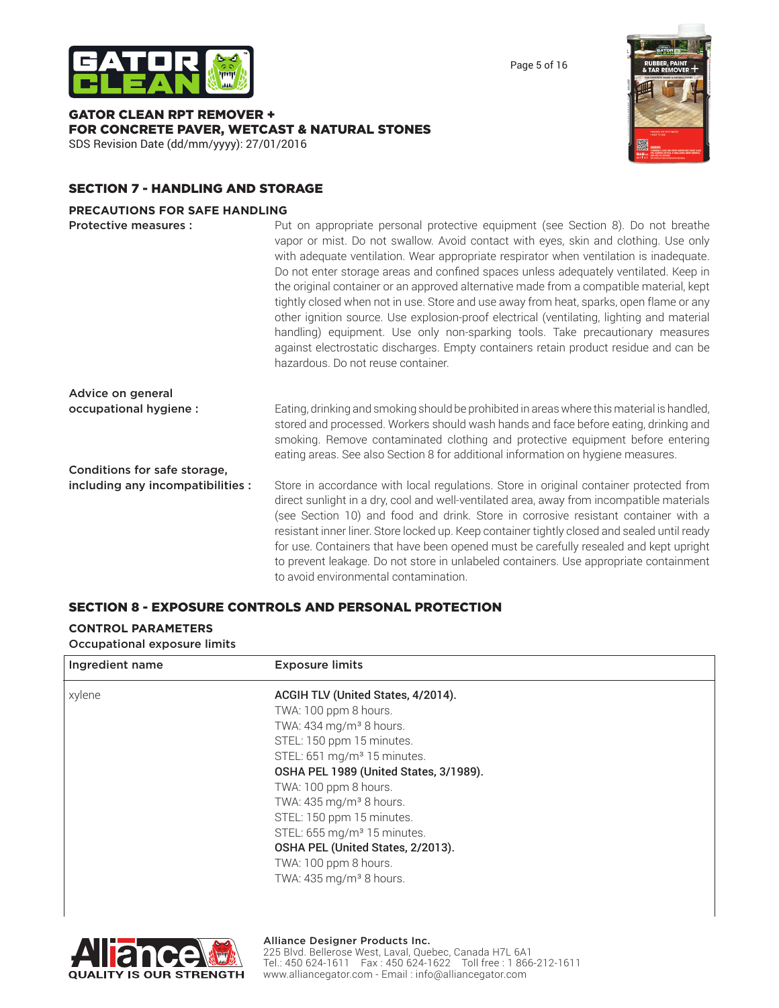

GATOR CLEAN RPT REMOVER + FOR CONCRETE PAVER, WETCAST & NATURAL STONES SDS Revision Date (dd/mm/yyyy): 27/01/2016



Page 5 of 16

## SECTION 7 - HANDLING AND STORAGE

#### **PRECAUTIONS FOR SAFE HANDLING**

| Protective measures :             | Put on appropriate personal protective equipment (see Section 8). Do not breathe<br>vapor or mist. Do not swallow. Avoid contact with eyes, skin and clothing. Use only<br>with adequate ventilation. Wear appropriate respirator when ventilation is inadequate.<br>Do not enter storage areas and confined spaces unless adequately ventilated. Keep in<br>the original container or an approved alternative made from a compatible material, kept<br>tightly closed when not in use. Store and use away from heat, sparks, open flame or any<br>other ignition source. Use explosion-proof electrical (ventilating, lighting and material<br>handling) equipment. Use only non-sparking tools. Take precautionary measures<br>against electrostatic discharges. Empty containers retain product residue and can be<br>hazardous. Do not reuse container. |
|-----------------------------------|-------------------------------------------------------------------------------------------------------------------------------------------------------------------------------------------------------------------------------------------------------------------------------------------------------------------------------------------------------------------------------------------------------------------------------------------------------------------------------------------------------------------------------------------------------------------------------------------------------------------------------------------------------------------------------------------------------------------------------------------------------------------------------------------------------------------------------------------------------------|
| Advice on general                 |                                                                                                                                                                                                                                                                                                                                                                                                                                                                                                                                                                                                                                                                                                                                                                                                                                                             |
| occupational hygiene :            | Eating, drinking and smoking should be prohibited in areas where this material is handled,<br>stored and processed. Workers should wash hands and face before eating, drinking and<br>smoking. Remove contaminated clothing and protective equipment before entering<br>eating areas. See also Section 8 for additional information on hygiene measures.                                                                                                                                                                                                                                                                                                                                                                                                                                                                                                    |
| Conditions for safe storage,      |                                                                                                                                                                                                                                                                                                                                                                                                                                                                                                                                                                                                                                                                                                                                                                                                                                                             |
| including any incompatibilities : | Store in accordance with local regulations. Store in original container protected from<br>direct sunlight in a dry, cool and well-ventilated area, away from incompatible materials<br>(see Section 10) and food and drink. Store in corrosive resistant container with a<br>resistant inner liner. Store locked up. Keep container tightly closed and sealed until ready<br>for use. Containers that have been opened must be carefully resealed and kept upright<br>to prevent leakage. Do not store in unlabeled containers. Use appropriate containment<br>to avoid environmental contamination.                                                                                                                                                                                                                                                        |

#### SECTION 8 - EXPOSURE CONTROLS AND PERSONAL PROTECTION

#### **CONTROL PARAMETERS** Occupational exposure limits

| Ingredient name | <b>Exposure limits</b>                  |
|-----------------|-----------------------------------------|
| xylene          | ACGIH TLV (United States, 4/2014).      |
|                 | TWA: 100 ppm 8 hours.                   |
|                 | TWA: 434 mg/m <sup>3</sup> 8 hours.     |
|                 | STEL: 150 ppm 15 minutes.               |
|                 | STEL: 651 mg/m <sup>3</sup> 15 minutes. |
|                 | OSHA PEL 1989 (United States, 3/1989).  |
|                 | TWA: 100 ppm 8 hours.                   |
|                 | TWA: $435 \,\mathrm{mg/m}^3$ 8 hours.   |
|                 | STEL: 150 ppm 15 minutes.               |
|                 | STEL: 655 mg/m <sup>3</sup> 15 minutes. |
|                 | OSHA PEL (United States, 2/2013).       |
|                 | TWA: 100 ppm 8 hours.                   |
|                 | TWA: $435 \,\mathrm{mg/m}^3$ 8 hours.   |
|                 |                                         |

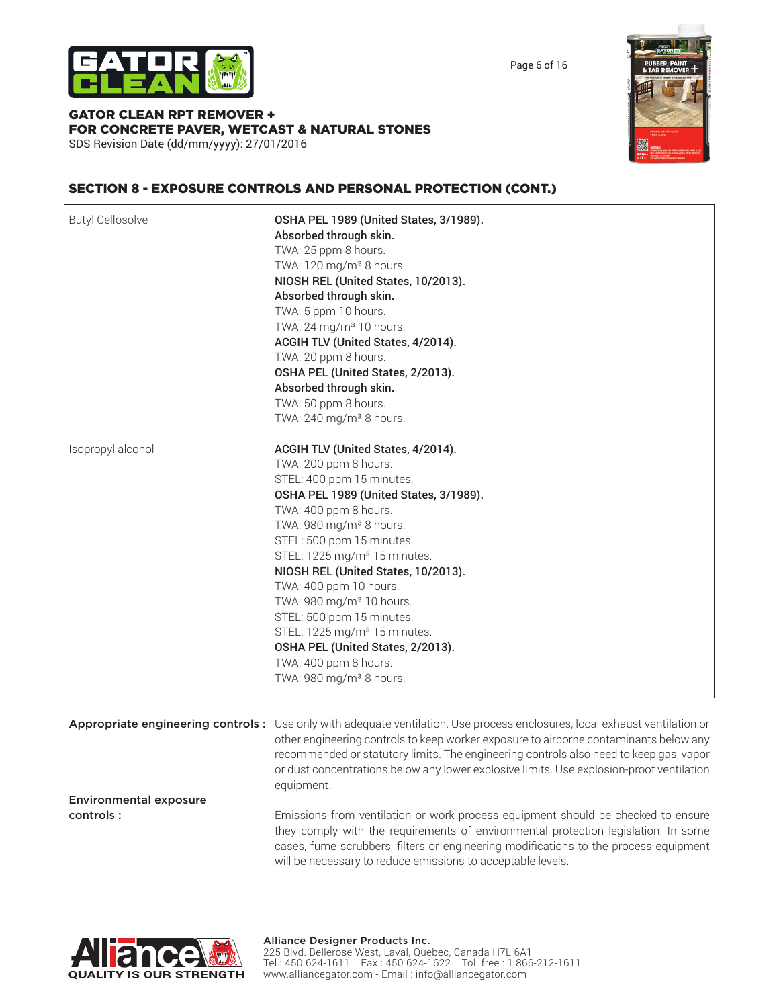

GATOR CLEAN RPT REMOVER + FOR CONCRETE PAVER, WETCAST & NATURAL STONES

SDS Revision Date (dd/mm/yyyy): 27/01/2016



Page 6 of 16

## SECTION 8 - EXPOSURE CONTROLS AND PERSONAL PROTECTION (CONT.)

| <b>Butyl Cellosolve</b> | OSHA PEL 1989 (United States, 3/1989).<br>Absorbed through skin.<br>TWA: 25 ppm 8 hours.<br>TWA: 120 mg/m <sup>3</sup> 8 hours.<br>NIOSH REL (United States, 10/2013).<br>Absorbed through skin.<br>TWA: 5 ppm 10 hours.<br>TWA: 24 mg/m <sup>3</sup> 10 hours.<br>ACGIH TLV (United States, 4/2014).<br>TWA: 20 ppm 8 hours.<br>OSHA PEL (United States, 2/2013).<br>Absorbed through skin.<br>TWA: 50 ppm 8 hours.<br>TWA: 240 mg/m <sup>3</sup> 8 hours.                                                                                                        |
|-------------------------|--------------------------------------------------------------------------------------------------------------------------------------------------------------------------------------------------------------------------------------------------------------------------------------------------------------------------------------------------------------------------------------------------------------------------------------------------------------------------------------------------------------------------------------------------------------------|
| Isopropyl alcohol       | ACGIH TLV (United States, 4/2014).<br>TWA: 200 ppm 8 hours.<br>STEL: 400 ppm 15 minutes.<br>OSHA PEL 1989 (United States, 3/1989).<br>TWA: 400 ppm 8 hours.<br>TWA: 980 mg/m <sup>3</sup> 8 hours.<br>STEL: 500 ppm 15 minutes.<br>STEL: 1225 mg/m <sup>3</sup> 15 minutes.<br>NIOSH REL (United States, 10/2013).<br>TWA: 400 ppm 10 hours.<br>TWA: 980 mg/m <sup>3</sup> 10 hours.<br>STEL: 500 ppm 15 minutes.<br>STEL: 1225 mg/m <sup>3</sup> 15 minutes.<br>OSHA PEL (United States, 2/2013).<br>TWA: 400 ppm 8 hours.<br>TWA: 980 mg/m <sup>3</sup> 8 hours. |

Appropriate engineering controls : Use only with adequate ventilation. Use process enclosures, local exhaust ventilation or other engineering controls to keep worker exposure to airborne contaminants below any recommended or statutory limits. The engineering controls also need to keep gas, vapor or dust concentrations below any lower explosive limits. Use explosion-proof ventilation equipment. Environmental exposure

**controls :** Emissions from ventilation or work process equipment should be checked to ensure they comply with the requirements of environmental protection legislation. In some cases, fume scrubbers, filters or engineering modifications to the process equipment will be necessary to reduce emissions to acceptable levels.

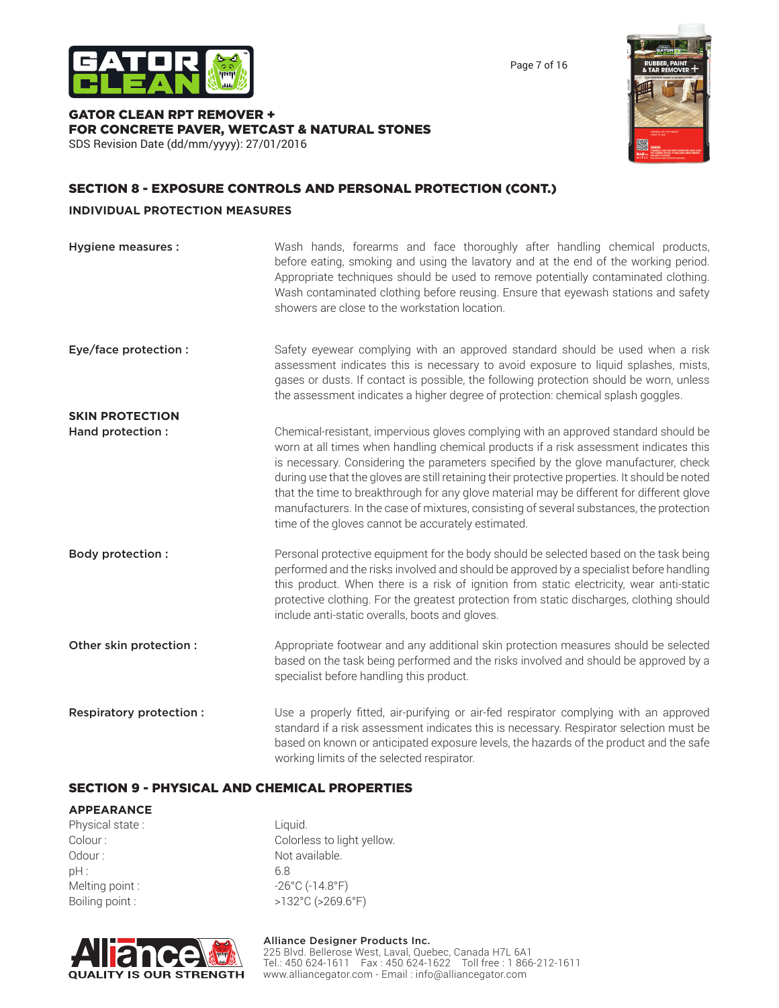

Page 7 of 16

#### GATOR CLEAN RPT REMOVER + FOR CONCRETE PAVER, WETCAST & NATURAL STONES SDS Revision Date (dd/mm/yyyy): 27/01/2016



## SECTION 8 - EXPOSURE CONTROLS AND PERSONAL PROTECTION (CONT.)

#### **INDIVIDUAL PROTECTION MEASURES**

| Hygiene measures :      | Wash hands, forearms and face thoroughly after handling chemical products,<br>before eating, smoking and using the lavatory and at the end of the working period.<br>Appropriate techniques should be used to remove potentially contaminated clothing.<br>Wash contaminated clothing before reusing. Ensure that eyewash stations and safety<br>showers are close to the workstation location.                                                                                                                                                                                                                      |
|-------------------------|----------------------------------------------------------------------------------------------------------------------------------------------------------------------------------------------------------------------------------------------------------------------------------------------------------------------------------------------------------------------------------------------------------------------------------------------------------------------------------------------------------------------------------------------------------------------------------------------------------------------|
| Eye/face protection :   | Safety eyewear complying with an approved standard should be used when a risk<br>assessment indicates this is necessary to avoid exposure to liquid splashes, mists,<br>gases or dusts. If contact is possible, the following protection should be worn, unless<br>the assessment indicates a higher degree of protection: chemical splash goggles.                                                                                                                                                                                                                                                                  |
| <b>SKIN PROTECTION</b>  |                                                                                                                                                                                                                                                                                                                                                                                                                                                                                                                                                                                                                      |
| Hand protection :       | Chemical-resistant, impervious gloves complying with an approved standard should be<br>worn at all times when handling chemical products if a risk assessment indicates this<br>is necessary. Considering the parameters specified by the glove manufacturer, check<br>during use that the gloves are still retaining their protective properties. It should be noted<br>that the time to breakthrough for any glove material may be different for different glove<br>manufacturers. In the case of mixtures, consisting of several substances, the protection<br>time of the gloves cannot be accurately estimated. |
| <b>Body protection:</b> | Personal protective equipment for the body should be selected based on the task being<br>performed and the risks involved and should be approved by a specialist before handling<br>this product. When there is a risk of ignition from static electricity, wear anti-static<br>protective clothing. For the greatest protection from static discharges, clothing should<br>include anti-static overalls, boots and gloves.                                                                                                                                                                                          |
| Other skin protection : | Appropriate footwear and any additional skin protection measures should be selected<br>based on the task being performed and the risks involved and should be approved by a<br>specialist before handling this product.                                                                                                                                                                                                                                                                                                                                                                                              |
| Respiratory protection: | Use a properly fitted, air-purifying or air-fed respirator complying with an approved<br>standard if a risk assessment indicates this is necessary. Respirator selection must be<br>based on known or anticipated exposure levels, the hazards of the product and the safe<br>working limits of the selected respirator.                                                                                                                                                                                                                                                                                             |

### SECTION 9 - PHYSICAL AND CHEMICAL PROPERTIES

#### **APPEARANCE**

Physical state : Liquid. Colour : Colorless to light yellow. Odour : Not available. pH : 6.8 Melting point :  $-26^{\circ}$ C (-14.8°F) Boiling point :  $>132^{\circ}$ C (>269.6°F)



# Alliance Designer Products Inc.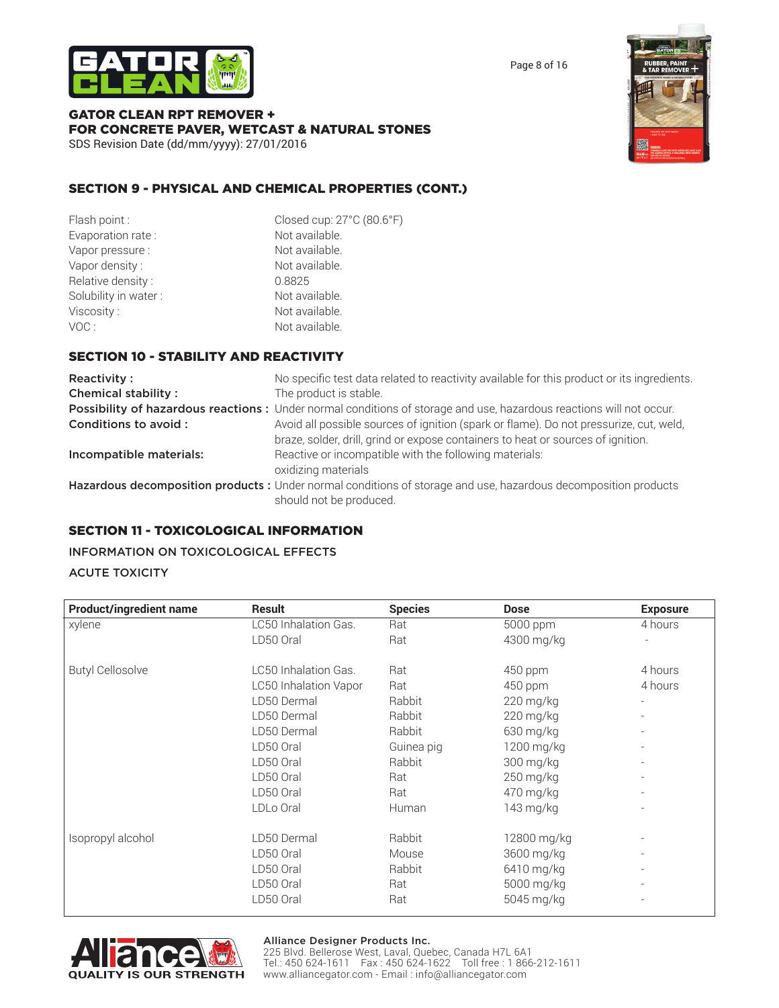



GATOR CLEAN RPT REMOVER + FOR CONCRETE PAVER, WETCAST & NATURAL STONES SDS Revision Date (dd/mm/yyyy): 27/01/2016

## SECTION 9 - PHYSICAL AND CHEMICAL PROPERTIES (CONT.)

| Flash point:         | Closed cup: 27°C (80.6°F) |
|----------------------|---------------------------|
| Evaporation rate:    | Not available.            |
| Vapor pressure :     | Not available.            |
| Vapor density:       | Not available.            |
| Relative density:    | 0.8825                    |
| Solubility in water: | Not available.            |
| Viscosity:           | Not available.            |
| VOC:                 | Not available.            |

## SECTION 10 - STABILITY AND REACTIVITY

| Reactivity:                | No specific test data related to reactivity available for this product or its ingredients.                                                                                 |
|----------------------------|----------------------------------------------------------------------------------------------------------------------------------------------------------------------------|
| <b>Chemical stability:</b> | The product is stable.                                                                                                                                                     |
|                            | Possibility of hazardous reactions: Under normal conditions of storage and use, hazardous reactions will not occur.                                                        |
| Conditions to avoid :      | Avoid all possible sources of ignition (spark or flame). Do not pressurize, cut, weld,<br>braze, solder, drill, grind or expose containers to heat or sources of ignition. |
| Incompatible materials:    | Reactive or incompatible with the following materials:<br>oxidizing materials                                                                                              |
|                            | Hazardous decomposition products : Under normal conditions of storage and use, hazardous decomposition products<br>should not be produced.                                 |

## SECTION 11 - TOXICOLOGICAL INFORMATION

### INFORMATION ON TOXICOLOGICAL EFFECTS

#### ACUTE TOXICITY

| <b>Product/ingredient name</b> | <b>Result</b>         | <b>Species</b> | <b>Dose</b> | <b>Exposure</b> |
|--------------------------------|-----------------------|----------------|-------------|-----------------|
| xylene                         | LC50 Inhalation Gas.  | Rat            | 5000 ppm    | 4 hours         |
|                                | LD50 Oral             | Rat            | 4300 mg/kg  |                 |
| <b>Butyl Cellosolve</b>        | LC50 Inhalation Gas.  | Rat            | 450 ppm     | 4 hours         |
|                                | LC50 Inhalation Vapor | Rat            | 450 ppm     | 4 hours         |
|                                | LD50 Dermal           | Rabbit         | 220 mg/kg   |                 |
|                                | LD50 Dermal           | Rabbit         | 220 mg/kg   |                 |
|                                | LD50 Dermal           | Rabbit         | 630 mg/kg   |                 |
|                                | LD50 Oral             | Guinea pig     | 1200 mg/kg  |                 |
|                                | LD50 Oral             | Rabbit         | 300 mg/kg   |                 |
|                                | LD50 Oral             | Rat            | 250 mg/kg   |                 |
|                                | LD50 Oral             | Rat            | 470 mg/kg   |                 |
|                                | LDLo Oral             | Human          | 143 mg/kg   |                 |
| Isopropyl alcohol              | LD50 Dermal           | Rabbit         | 12800 mg/kg |                 |
|                                | LD50 Oral             | Mouse          | 3600 mg/kg  |                 |
|                                | LD50 Oral             | Rabbit         | 6410 mg/kg  |                 |
|                                | LD50 Oral             | Rat            | 5000 mg/kg  |                 |
|                                | LD50 Oral             | Rat            | 5045 mg/kg  |                 |



#### Alliance Designer Products Inc.

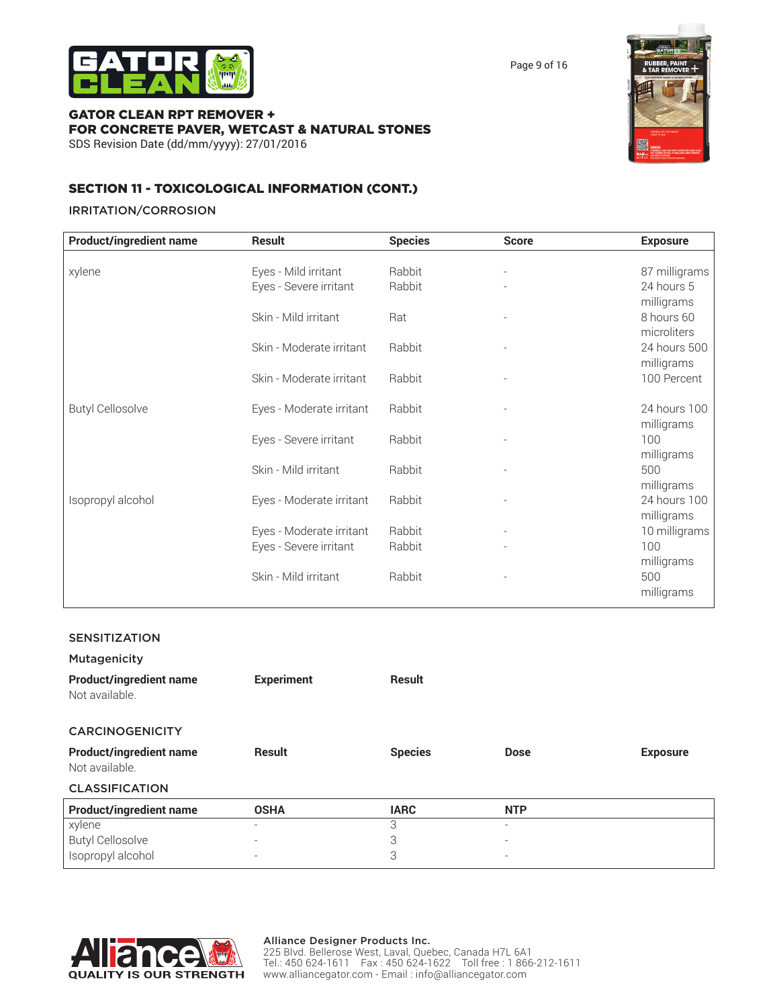

Page 9 of 16

#### GATOR CLEAN RPT REMOVER + FOR CONCRETE PAVER, WETCAST & NATURAL STONES SDS Revision Date (dd/mm/yyyy): 27/01/2016



## SECTION 11 - TOXICOLOGICAL INFORMATION (CONT.)

#### IRRITATION/CORROSION

| <b>Product/ingredient name</b> | <b>Result</b>            | <b>Species</b> | <b>Score</b>   | <b>Exposure</b> |
|--------------------------------|--------------------------|----------------|----------------|-----------------|
|                                |                          |                |                |                 |
| xylene                         | Eyes - Mild irritant     | Rabbit         |                | 87 milligrams   |
|                                | Eyes - Severe irritant   | Rabbit         |                | 24 hours 5      |
|                                |                          |                |                | milligrams      |
|                                | Skin - Mild irritant     | Rat            |                | 8 hours 60      |
|                                |                          |                |                | microliters     |
|                                | Skin - Moderate irritant | Rabbit         | $\sim$         | 24 hours 500    |
|                                |                          |                |                | milligrams      |
|                                | Skin - Moderate irritant | Rabbit         | $\overline{a}$ | 100 Percent     |
|                                |                          |                |                |                 |
| <b>Butyl Cellosolve</b>        | Eyes - Moderate irritant | Rabbit         |                | 24 hours 100    |
|                                |                          |                |                | milligrams      |
|                                | Eyes - Severe irritant   | Rabbit         |                | 100             |
|                                |                          |                |                | milligrams      |
|                                | Skin - Mild irritant     | Rabbit         |                | 500             |
|                                |                          |                |                | milligrams      |
| Isopropyl alcohol              | Eyes - Moderate irritant | Rabbit         |                | 24 hours 100    |
|                                |                          |                |                | milligrams      |
|                                | Eyes - Moderate irritant | Rabbit         |                | 10 milligrams   |
|                                | Eyes - Severe irritant   | Rabbit         |                | 100             |
|                                |                          |                |                | milligrams      |
|                                | Skin - Mild irritant     | Rabbit         |                | 500             |
|                                |                          |                |                | milligrams      |
|                                |                          |                |                |                 |

#### SENSITIZATION

| <b>Mutagenicity</b>                              |                   |                |                          |                 |
|--------------------------------------------------|-------------------|----------------|--------------------------|-----------------|
| <b>Product/ingredient name</b><br>Not available. | <b>Experiment</b> | Result         |                          |                 |
| <b>CARCINOGENICITY</b>                           |                   |                |                          |                 |
| <b>Product/ingredient name</b><br>Not available. | <b>Result</b>     | <b>Species</b> | <b>Dose</b>              | <b>Exposure</b> |
| <b>CLASSIFICATION</b>                            |                   |                |                          |                 |
| <b>Product/ingredient name</b>                   | <b>OSHA</b>       | <b>IARC</b>    | <b>NTP</b>               |                 |
| xylene                                           |                   | 3              | $\overline{\phantom{a}}$ |                 |
| <b>Butyl Cellosolve</b>                          |                   | 3              | $\overline{\phantom{a}}$ |                 |
| Isopropyl alcohol                                |                   | 3              | $\overline{\phantom{a}}$ |                 |

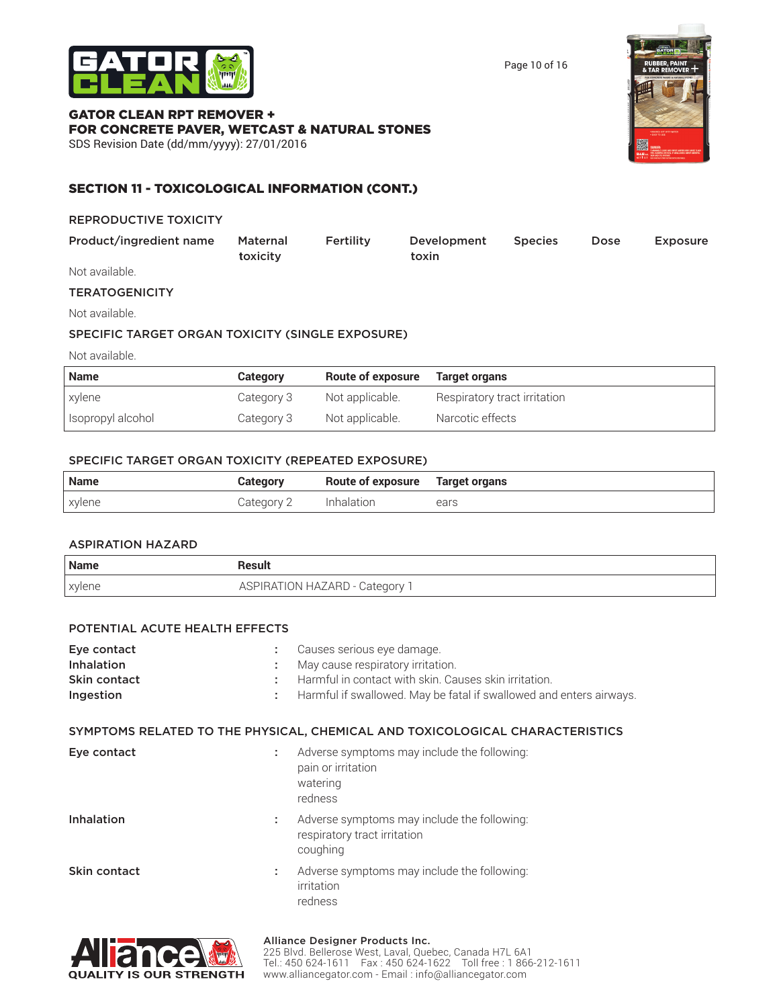

Page 10 of 16

## GATOR CLEAN RPT REMOVER + FOR CONCRETE PAVER, WETCAST & NATURAL STONES

SDS Revision Date (dd/mm/yyyy): 27/01/2016



## SECTION 11 - TOXICOLOGICAL INFORMATION (CONT.)

#### REPRODUCTIVE TOXICITY

| Product/ingredient name | Maternal | Fertility | Development | <b>Species</b> | <b>Dose</b> | <b>Exposure</b> |
|-------------------------|----------|-----------|-------------|----------------|-------------|-----------------|
|                         | toxicity |           | toxin       |                |             |                 |
| Not quailabla           |          |           |             |                |             |                 |

Not available. 

## **TERATOGENICITY**

Not available.

#### SPECIFIC TARGET ORGAN TOXICITY (SINGLE EXPOSURE)

Not available.

| <b>Name</b>       | Category   | <b>Route of exposure</b> | Target organs                |
|-------------------|------------|--------------------------|------------------------------|
| xylene            | Category 3 | Not applicable.          | Respiratory tract irritation |
| Isopropyl alcohol | Category 3 | Not applicable.          | Narcotic effects             |

#### SPECIFIC TARGET ORGAN TOXICITY (REPEATED EXPOSURE)

| <b>Name</b> | Category   | Route of exposure Target organs |      |
|-------------|------------|---------------------------------|------|
| xylene      | Category 2 | Inhalation                      | ears |

#### ASPIRATION HAZARD

| Name   | Result                       |
|--------|------------------------------|
| xylene | ASPIRATION HAZARD - Category |

#### POTENTIAL ACUTE HEALTH EFFECTS

| Eye contact       |    | Causes serious eye damage.                                                               |
|-------------------|----|------------------------------------------------------------------------------------------|
| Inhalation        |    | May cause respiratory irritation.                                                        |
| Skin contact      | ٠. | Harmful in contact with skin. Causes skin irritation.                                    |
| Ingestion         | ÷. | Harmful if swallowed. May be fatal if swallowed and enters airways.                      |
|                   |    | SYMPTOMS RELATED TO THE PHYSICAL, CHEMICAL AND TOXICOLOGICAL CHARACTERISTICS             |
| Eye contact       | ÷. | Adverse symptoms may include the following:<br>pain or irritation<br>watering<br>redness |
| <b>Inhalation</b> | ÷. | Adverse symptoms may include the following:<br>respiratory tract irritation<br>coughing  |
| Skin contact      | ÷. | Adverse symptoms may include the following:<br>irritation<br>redness                     |



#### Alliance Designer Products Inc.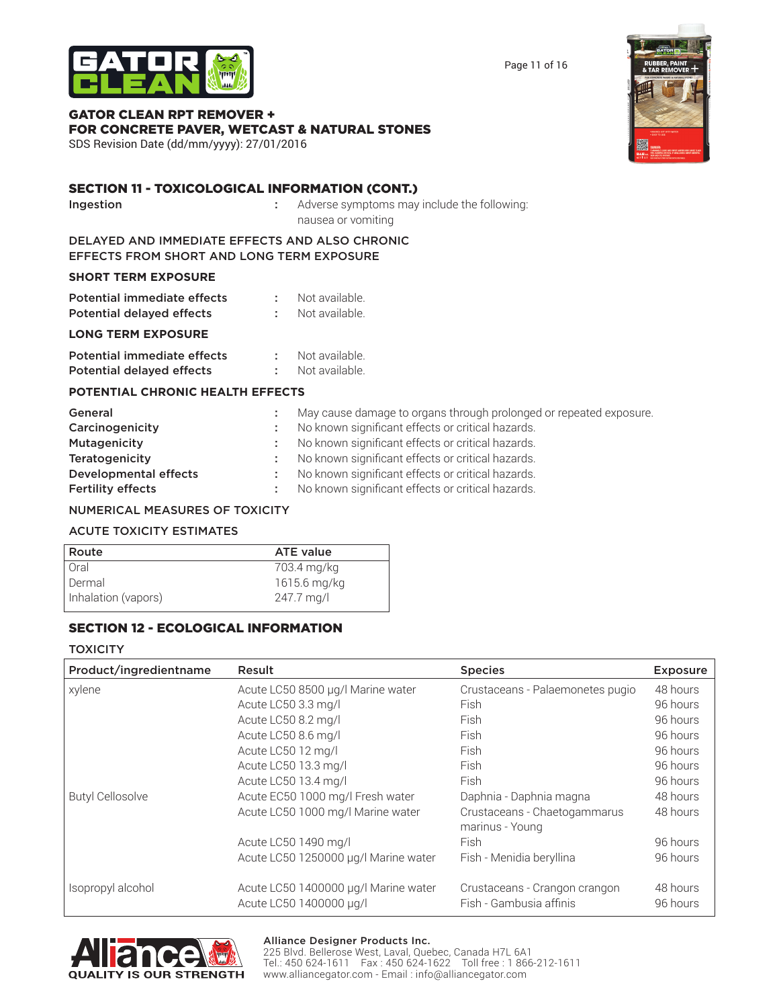Alliance Designer Products Inc. 225 Blvd. Bellerose West, Laval, Quebec, Canada H7L 6A1 Tel.: 450 624-1611 Fax : 450 624-1622 Toll free : 1 866-212-1611 www.alliancegator.com - Email : info@alliancegator.com

Page 11 of 16

## GATOR CLEAN RPT REMOVER + FOR CONCRETE PAVER, WETCAST & NATURAL STONES

SDS Revision Date (dd/mm/yyyy): 27/01/2016

## SECTION 11 - TOXICOLOGICAL INFORMATION (CONT.)

**Ingestion** : Adverse symptoms may include the following: nausea or vomiting

#### DELAYED AND IMMEDIATE EFFECTS AND ALSO CHRONIC EFFECTS FROM SHORT AND LONG TERM EXPOSURE

#### **SHORT TERM EXPOSURE**

| Potential immediate effects | Not available. |
|-----------------------------|----------------|
| Potential delayed effects   | Not available. |

#### **LONG TERM EXPOSURE**

| Potential immediate effects      | Not available. |
|----------------------------------|----------------|
| <b>Potential delayed effects</b> | Not available. |

#### **POTENTIAL CHRONIC HEALTH EFFECTS**

| General                      | May cause damage to organs through prolonged or repeated exposure. |
|------------------------------|--------------------------------------------------------------------|
| Carcinogenicity              | No known significant effects or critical hazards.                  |
| Mutagenicity                 | No known significant effects or critical hazards.                  |
| Teratogenicity               | No known significant effects or critical hazards.                  |
| <b>Developmental effects</b> | No known significant effects or critical hazards.                  |
| <b>Fertility effects</b>     | No known significant effects or critical hazards.                  |

#### NUMERICAL MEASURES OF TOXICITY

#### ACUTE TOXICITY ESTIMATES

| Route               | <b>ATE value</b> |
|---------------------|------------------|
| Oral                | 703.4 mg/kg      |
| Dermal              | 1615.6 mg/kg     |
| Inhalation (vapors) | 247.7 mg/l       |

## SECTION 12 - ECOLOGICAL INFORMATION

#### **TOXICITY**

| Product/ingredientname  | Result                                                          | <b>Species</b>                                           | <b>Exposure</b>      |
|-------------------------|-----------------------------------------------------------------|----------------------------------------------------------|----------------------|
| xylene                  | Acute LC50 8500 µg/l Marine water                               | Crustaceans - Palaemonetes pugio                         | 48 hours             |
|                         | Acute LC50 3.3 mg/l                                             | Fish                                                     | 96 hours             |
|                         | Acute LC50 8.2 mg/l                                             | Fish                                                     | 96 hours             |
|                         | Acute LC50 8.6 mg/l                                             | Fish                                                     | 96 hours             |
|                         | Acute LC50 12 mg/l                                              | Fish                                                     | 96 hours             |
|                         | Acute LC50 13.3 mg/l                                            | <b>Fish</b>                                              | 96 hours             |
|                         | Acute LC50 13.4 mg/l                                            | Fish                                                     | 96 hours             |
| <b>Butyl Cellosolve</b> | Acute EC50 1000 mg/l Fresh water                                | Daphnia - Daphnia magna                                  | 48 hours             |
|                         | Acute LC50 1000 mg/l Marine water                               | Crustaceans - Chaetogammarus<br>marinus - Young          | 48 hours             |
|                         | Acute LC50 1490 mg/l                                            | <b>Fish</b>                                              | 96 hours             |
|                         | Acute LC50 1250000 µg/l Marine water                            | Fish - Menidia beryllina                                 | 96 hours             |
| Isopropyl alcohol       | Acute LC50 1400000 µg/l Marine water<br>Acute LC50 1400000 µg/l | Crustaceans - Crangon crangon<br>Fish - Gambusia affinis | 48 hours<br>96 hours |





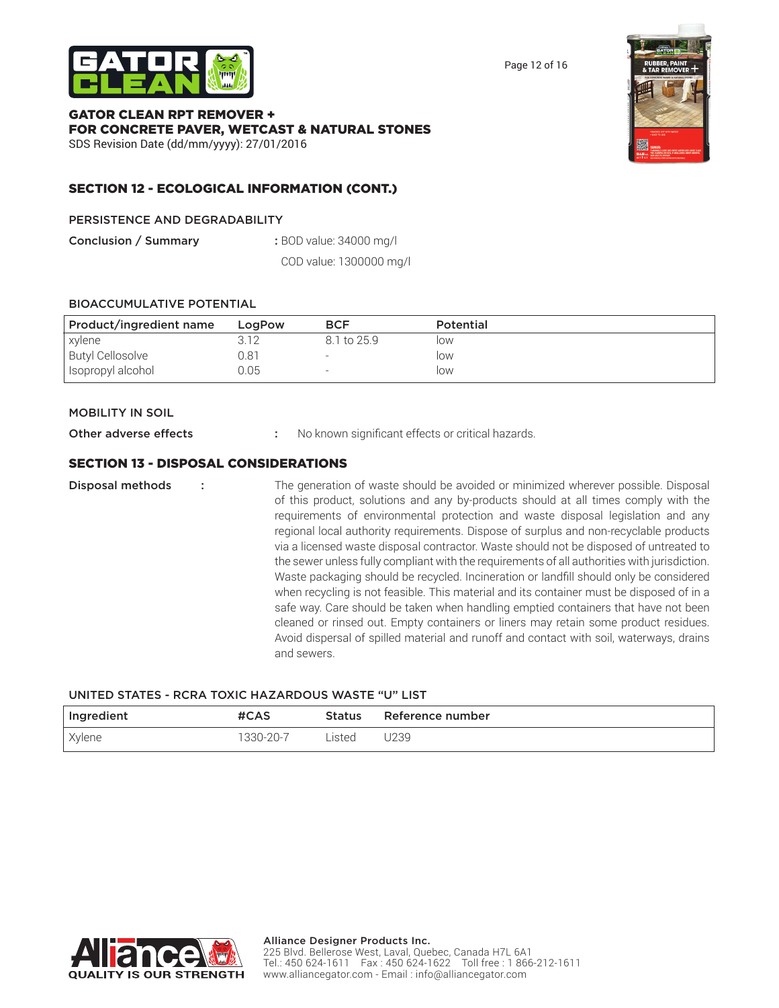

Page 12 of 16

#### GATOR CLEAN RPT REMOVER + FOR CONCRETE PAVER, WETCAST & NATURAL STONES SDS Revision Date (dd/mm/yyyy): 27/01/2016



## SECTION 12 - ECOLOGICAL INFORMATION (CONT.)

#### PERSISTENCE AND DEGRADABILITY

Conclusion / Summary : BOD value: 34000 mg/l

 COD value: 1300000 mg/l

#### BIOACCUMULATIVE POTENTIAL

| Product/ingredient name | LogPow | <b>BCF</b>  | <b>Potential</b> |
|-------------------------|--------|-------------|------------------|
| xylene                  | 3.12   | 8.1 to 25.9 | low              |
| <b>Butyl Cellosolve</b> | 0.81   |             | low              |
| Isopropyl alcohol       | 0.05   |             | low              |

#### MOBILITY IN SOIL

Other adverse effects : No known significant effects or critical hazards.

### SECTION 13 - DISPOSAL CONSIDERATIONS

**Disposal methods** : The generation of waste should be avoided or minimized wherever possible. Disposal of this product, solutions and any by-products should at all times comply with the requirements of environmental protection and waste disposal legislation and any regional local authority requirements. Dispose of surplus and non-recyclable products via a licensed waste disposal contractor. Waste should not be disposed of untreated to the sewer unless fully compliant with the requirements of all authorities with jurisdiction. Waste packaging should be recycled. Incineration or landfill should only be considered when recycling is not feasible. This material and its container must be disposed of in a safe way. Care should be taken when handling emptied containers that have not been cleaned or rinsed out. Empty containers or liners may retain some product residues. Avoid dispersal of spilled material and runoff and contact with soil, waterways, drains and sewers.

#### UNITED STATES - RCRA TOXIC HAZARDOUS WASTE "U" LIST

| Ingredient | #CAS      | Status | Reference number |
|------------|-----------|--------|------------------|
| Xylene     | 1330-20-7 | Listed | J239             |

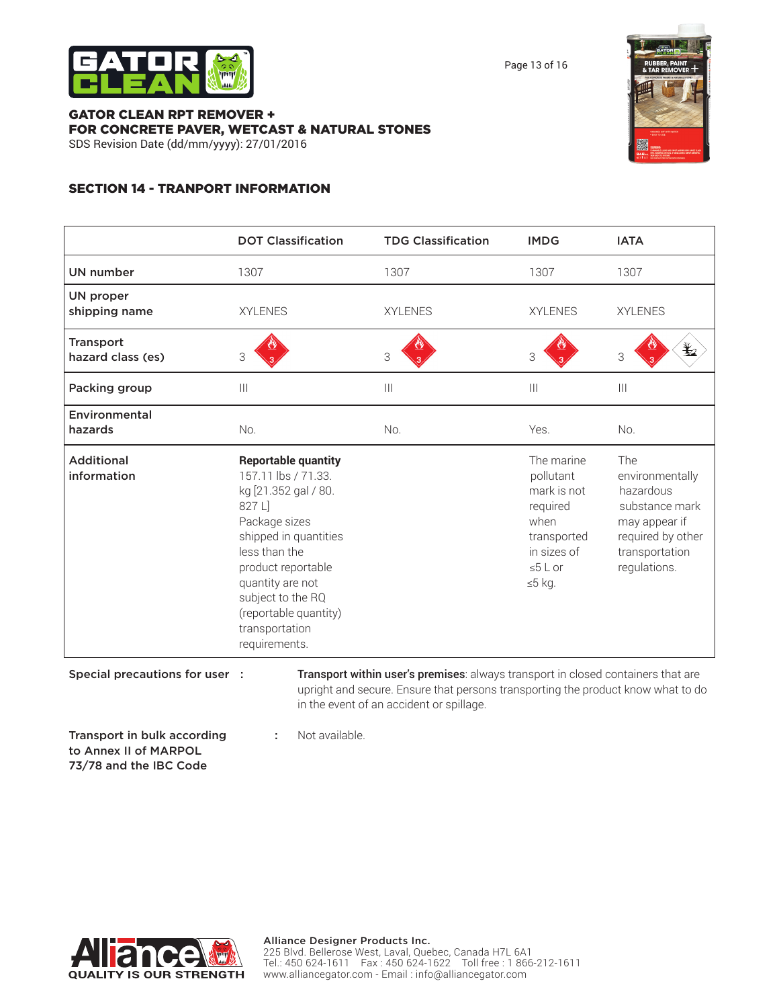

Page 13 of 16

#### GATOR CLEAN RPT REMOVER + FOR CONCRETE PAVER, WETCAST & NATURAL STONES SDS Revision Date (dd/mm/yyyy): 27/01/2016



## SECTION 14 - TRANPORT INFORMATION

|                                       | <b>DOT Classification</b>                                                                                                                                                                                                                                                 | <b>TDG Classification</b>                                                                                                                                                                                        | <b>IMDG</b>                                                                                                           | <b>IATA</b>                                                                                                                   |
|---------------------------------------|---------------------------------------------------------------------------------------------------------------------------------------------------------------------------------------------------------------------------------------------------------------------------|------------------------------------------------------------------------------------------------------------------------------------------------------------------------------------------------------------------|-----------------------------------------------------------------------------------------------------------------------|-------------------------------------------------------------------------------------------------------------------------------|
| <b>UN number</b>                      | 1307                                                                                                                                                                                                                                                                      | 1307                                                                                                                                                                                                             | 1307                                                                                                                  | 1307                                                                                                                          |
| <b>UN proper</b><br>shipping name     | <b>XYLENES</b>                                                                                                                                                                                                                                                            | <b>XYLENES</b>                                                                                                                                                                                                   | <b>XYLENES</b>                                                                                                        | <b>XYLENES</b>                                                                                                                |
| <b>Transport</b><br>hazard class (es) | 3                                                                                                                                                                                                                                                                         | 3                                                                                                                                                                                                                | 3                                                                                                                     | $\bigstar$<br>3                                                                                                               |
| Packing group                         | $\mathbf{III}$                                                                                                                                                                                                                                                            | $\begin{array}{c} \hline \end{array}$                                                                                                                                                                            | $\begin{array}{c} \hline \end{array}$                                                                                 | $\vert\vert\vert$                                                                                                             |
| Environmental<br>hazards              | No.                                                                                                                                                                                                                                                                       | No.                                                                                                                                                                                                              | Yes.                                                                                                                  | No.                                                                                                                           |
| <b>Additional</b><br>information      | <b>Reportable quantity</b><br>157.11 lbs / 71.33.<br>kg [21.352 gal / 80.<br>827 L]<br>Package sizes<br>shipped in quantities<br>less than the<br>product reportable<br>quantity are not<br>subject to the RQ<br>(reportable quantity)<br>transportation<br>requirements. |                                                                                                                                                                                                                  | The marine<br>pollutant<br>mark is not<br>required<br>when<br>transported<br>in sizes of<br>$\leq 5$ L or<br>$≤5$ kg. | The<br>environmentally<br>hazardous<br>substance mark<br>may appear if<br>required by other<br>transportation<br>regulations. |
| Special precautions for user :        |                                                                                                                                                                                                                                                                           | Transport within user's premises: always transport in closed containers that are<br>upright and secure. Ensure that persons transporting the product know what to do<br>in the event of an accident or spillage. |                                                                                                                       |                                                                                                                               |

Transport in bulk according : Not available. to Annex II of MARPOL 73/78 and the IBC Code

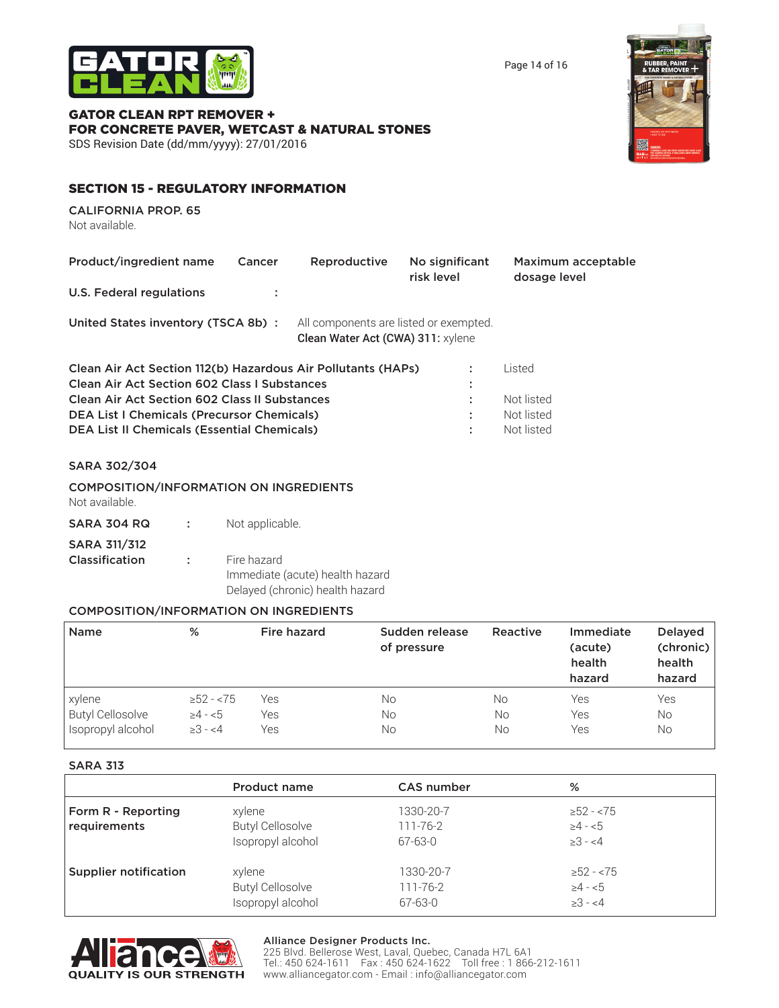

Page 14 of 16

## GATOR CLEAN RPT REMOVER + FOR CONCRETE PAVER, WETCAST & NATURAL STONES

SDS Revision Date (dd/mm/yyyy): 27/01/2016

## SECTION 15 - REGULATORY INFORMATION

CALIFORNIA PROP. 65 Not available.

| Product/ingredient name<br>U.S. Federal regulations                                                                                                                                                                                                                                    | Cancer | Reproductive                                                                | No significant<br>risk level | Maximum acceptable<br>dosage level               |  |
|----------------------------------------------------------------------------------------------------------------------------------------------------------------------------------------------------------------------------------------------------------------------------------------|--------|-----------------------------------------------------------------------------|------------------------------|--------------------------------------------------|--|
| United States inventory (TSCA 8b):                                                                                                                                                                                                                                                     |        | All components are listed or exempted.<br>Clean Water Act (CWA) 311: xylene |                              |                                                  |  |
| Clean Air Act Section 112(b) Hazardous Air Pollutants (HAPs)<br><b>Clean Air Act Section 602 Class I Substances</b><br><b>Clean Air Act Section 602 Class II Substances</b><br><b>DEA List I Chemicals (Precursor Chemicals)</b><br><b>DEA List II Chemicals (Essential Chemicals)</b> |        |                                                                             | ٠                            | Listed<br>Not listed<br>Not listed<br>Not listed |  |

#### SARA 302/304

| <b>COMPOSITION/INFORMATION ON INGREDIENTS</b> |  |
|-----------------------------------------------|--|
| Not available.                                |  |

| <b>SARA 304 RQ</b>  | Not applicable.                 |
|---------------------|---------------------------------|
| <b>SARA 311/312</b> |                                 |
| Classification      | Fire hazard                     |
|                     | Immediate (acute) health hazard |
|                     | Delayed (chronic) health hazard |

#### COMPOSITION/INFORMATION ON INGREDIENTS

| <b>Name</b>             | %               | <b>Fire hazard</b> | Sudden release<br>of pressure | Reactive | Immediate<br>(acute)<br>health<br>hazard | <b>Delayed</b><br>(chronic)<br>health<br>hazard |
|-------------------------|-----------------|--------------------|-------------------------------|----------|------------------------------------------|-------------------------------------------------|
| xylene                  | $\geq$ 52 - <75 | Yes                | No                            | No       | Yes                                      | Yes                                             |
| <b>Butyl Cellosolve</b> | $\geq 4 - 5$    | Yes                | No                            | No       | Yes                                      | No.                                             |
| Isopropyl alcohol       | $\geq 3 - 4$    | Yes                | No                            | No       | Yes                                      | <b>No</b>                                       |

#### SARA 313

|                              | <b>Product name</b>     | <b>CAS number</b> | %               |  |
|------------------------------|-------------------------|-------------------|-----------------|--|
| Form R - Reporting           | xylene                  | 1330-20-7         | $\geq$ 52 - <75 |  |
| requirements                 | <b>Butyl Cellosolve</b> | $111 - 76 - 2$    | $\geq 4 - 5$    |  |
|                              | Isopropyl alcohol       | 67-63-0           | $\geq 3 - 4$    |  |
| <b>Supplier notification</b> | xylene                  | 1330-20-7         | $\geq$ 52 - <75 |  |
|                              | <b>Butyl Cellosolve</b> | 111-76-2          | $\geq 4 - 5$    |  |
|                              | Isopropyl alcohol       | 67-63-0           | $\geq 3 - 4$    |  |



#### Alliance Designer Products Inc.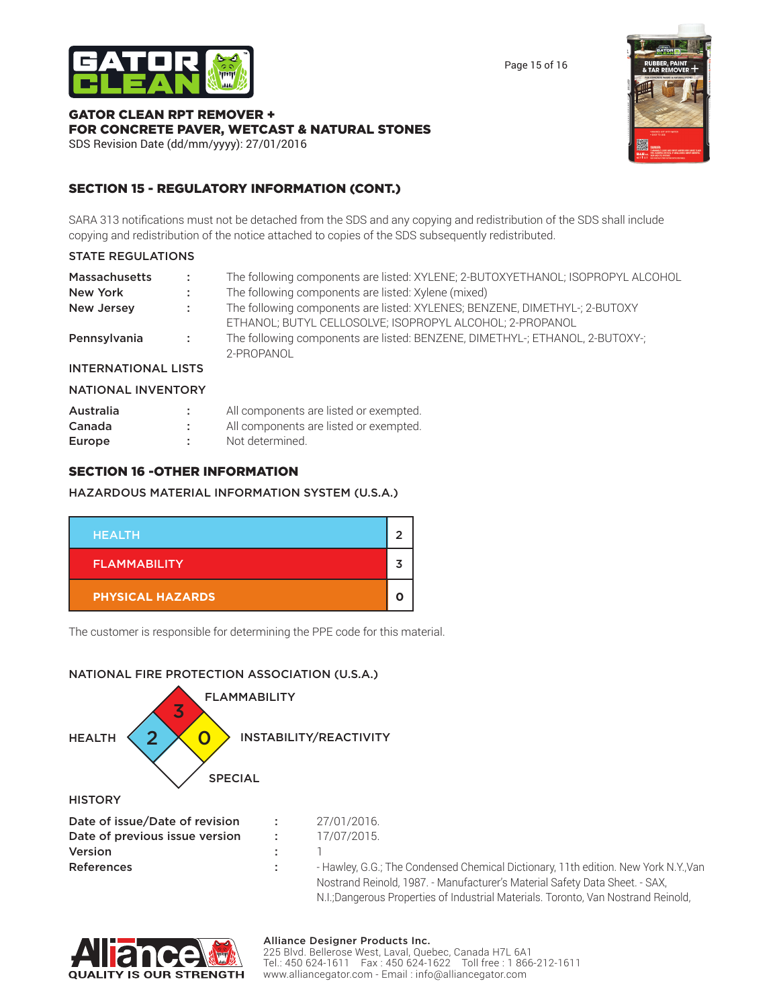

Page 15 of 16

#### GATOR CLEAN RPT REMOVER + FOR CONCRETE PAVER, WETCAST & NATURAL STONES SDS Revision Date (dd/mm/yyyy): 27/01/2016



## SECTION 15 - REGULATORY INFORMATION (CONT.)

SARA 313 notifications must not be detached from the SDS and any copying and redistribution of the SDS shall include copying and redistribution of the notice attached to copies of the SDS subsequently redistributed. 

### STATE REGULATIONS

| <b>Massachusetts</b>       | A.                | The following components are listed: XYLENE; 2-BUTOXYETHANOL; ISOPROPYL ALCOHOL            |
|----------------------------|-------------------|--------------------------------------------------------------------------------------------|
| New York                   | $\mathcal{L}$     | The following components are listed: Xylene (mixed)                                        |
| New Jersey                 | <b>CONTRACTOR</b> | The following components are listed: XYLENES; BENZENE, DIMETHYL-; 2-BUTOXY                 |
|                            |                   | ETHANOL; BUTYL CELLOSOLVE; ISOPROPYL ALCOHOL; 2-PROPANOL                                   |
| Pennsylvania               | <b>Contractor</b> | The following components are listed: BENZENE, DIMETHYL-; ETHANOL, 2-BUTOXY-;<br>2-PROPANOL |
| <b>INTERNATIONAL LISTS</b> |                   |                                                                                            |

## NATIONAL INVENTORY

| Australia | All components are listed or exempted. |
|-----------|----------------------------------------|
| Canada    | All components are listed or exempted. |
| Europe    | Not determined.                        |

### SECTION 16 -OTHER INFORMATION

#### HAZARDOUS MATERIAL INFORMATION SYSTEM (U.S.A.)

| <b>HEALTH</b>           |  |
|-------------------------|--|
| <b>FLAMMABILITY</b>     |  |
| <b>PHYSICAL HAZARDS</b> |  |

The customer is responsible for determining the PPE code for this material.

## NATIONAL FIRE PROTECTION ASSOCIATION (U.S.A.)





#### Alliance Designer Products Inc.